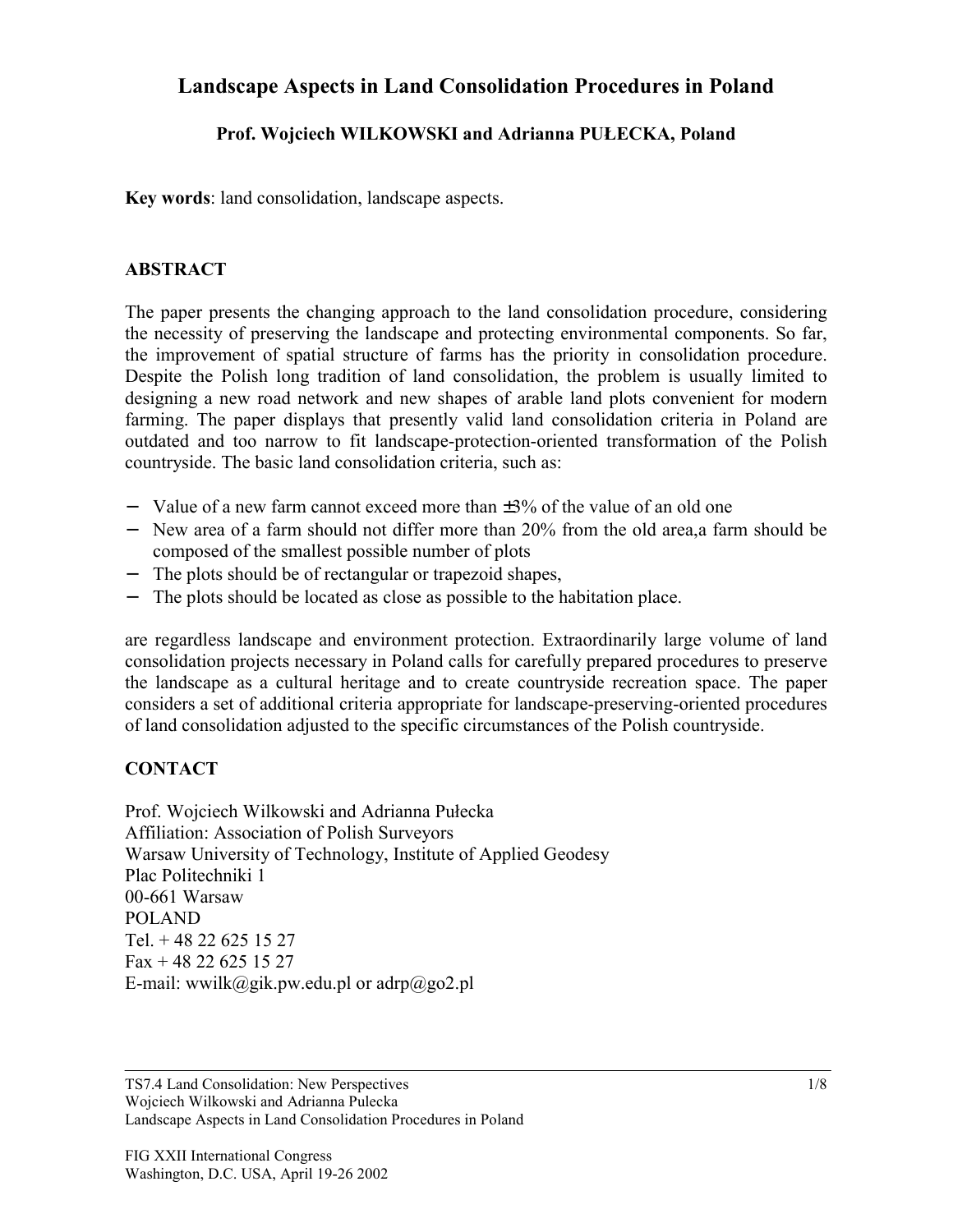### **Landscape Aspects in Land Consolidation Procedures in Poland**

### **Prof. Wojciech WILKOWSKI and Adrianna PUŁECKA, Poland**

**Key words**: land consolidation, landscape aspects.

#### **ABSTRACT**

The paper presents the changing approach to the land consolidation procedure, considering the necessity of preserving the landscape and protecting environmental components. So far, the improvement of spatial structure of farms has the priority in consolidation procedure. Despite the Polish long tradition of land consolidation, the problem is usually limited to designing a new road network and new shapes of arable land plots convenient for modern farming. The paper displays that presently valid land consolidation criteria in Poland are outdated and too narrow to fit landscape-protection-oriented transformation of the Polish countryside. The basic land consolidation criteria, such as:

- − Value of a new farm cannot exceed more than ±3% of the value of an old one
- − New area of a farm should not differ more than 20% from the old area,a farm should be composed of the smallest possible number of plots
- The plots should be of rectangular or trapezoid shapes,
- The plots should be located as close as possible to the habitation place.

are regardless landscape and environment protection. Extraordinarily large volume of land consolidation projects necessary in Poland calls for carefully prepared procedures to preserve the landscape as a cultural heritage and to create countryside recreation space. The paper considers a set of additional criteria appropriate for landscape-preserving-oriented procedures of land consolidation adjusted to the specific circumstances of the Polish countryside.

#### **CONTACT**

Prof. Wojciech Wilkowski and Adrianna Pułecka Affiliation: Association of Polish Surveyors Warsaw University of Technology, Institute of Applied Geodesy Plac Politechniki 1 00-661 Warsaw POLAND Tel. + 48 22 625 15 27 Fax + 48 22 625 15 27 E-mail: wwilk@gik.pw.edu.pl or adrp@go2.pl

TS7.4 Land Consolidation: New Perspectives Wojciech Wilkowski and Adrianna Pulecka Landscape Aspects in Land Consolidation Procedures in Poland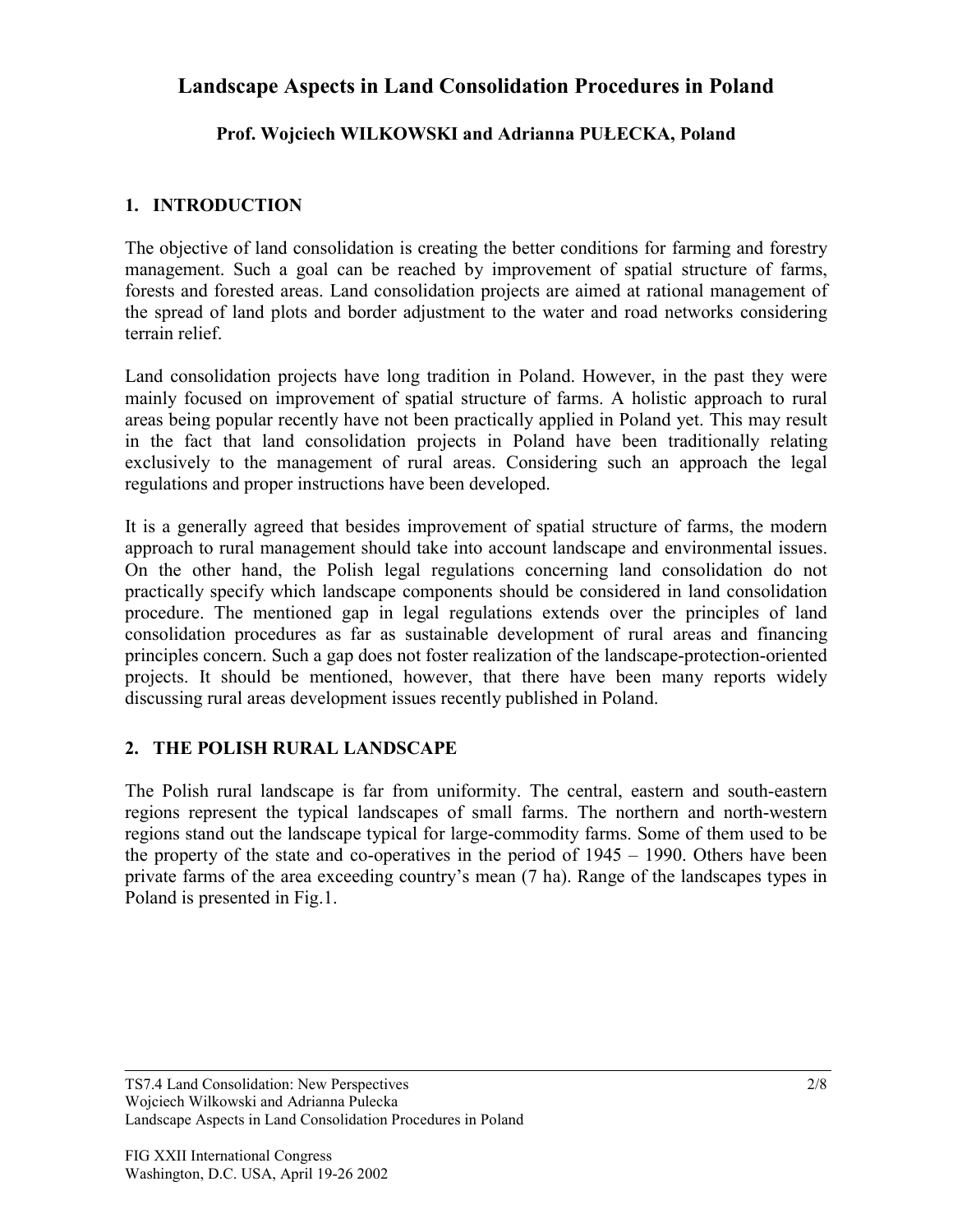## **Landscape Aspects in Land Consolidation Procedures in Poland**

### **Prof. Wojciech WILKOWSKI and Adrianna PUŁECKA, Poland**

### **1. INTRODUCTION**

The objective of land consolidation is creating the better conditions for farming and forestry management. Such a goal can be reached by improvement of spatial structure of farms, forests and forested areas. Land consolidation projects are aimed at rational management of the spread of land plots and border adjustment to the water and road networks considering terrain relief.

Land consolidation projects have long tradition in Poland. However, in the past they were mainly focused on improvement of spatial structure of farms. A holistic approach to rural areas being popular recently have not been practically applied in Poland yet. This may result in the fact that land consolidation projects in Poland have been traditionally relating exclusively to the management of rural areas. Considering such an approach the legal regulations and proper instructions have been developed.

It is a generally agreed that besides improvement of spatial structure of farms, the modern approach to rural management should take into account landscape and environmental issues. On the other hand, the Polish legal regulations concerning land consolidation do not practically specify which landscape components should be considered in land consolidation procedure. The mentioned gap in legal regulations extends over the principles of land consolidation procedures as far as sustainable development of rural areas and financing principles concern. Such a gap does not foster realization of the landscape-protection-oriented projects. It should be mentioned, however, that there have been many reports widely discussing rural areas development issues recently published in Poland.

#### **2. THE POLISH RURAL LANDSCAPE**

The Polish rural landscape is far from uniformity. The central, eastern and south-eastern regions represent the typical landscapes of small farms. The northern and north-western regions stand out the landscape typical for large-commodity farms. Some of them used to be the property of the state and co-operatives in the period of 1945 – 1990. Others have been private farms of the area exceeding country's mean (7 ha). Range of the landscapes types in Poland is presented in Fig.1.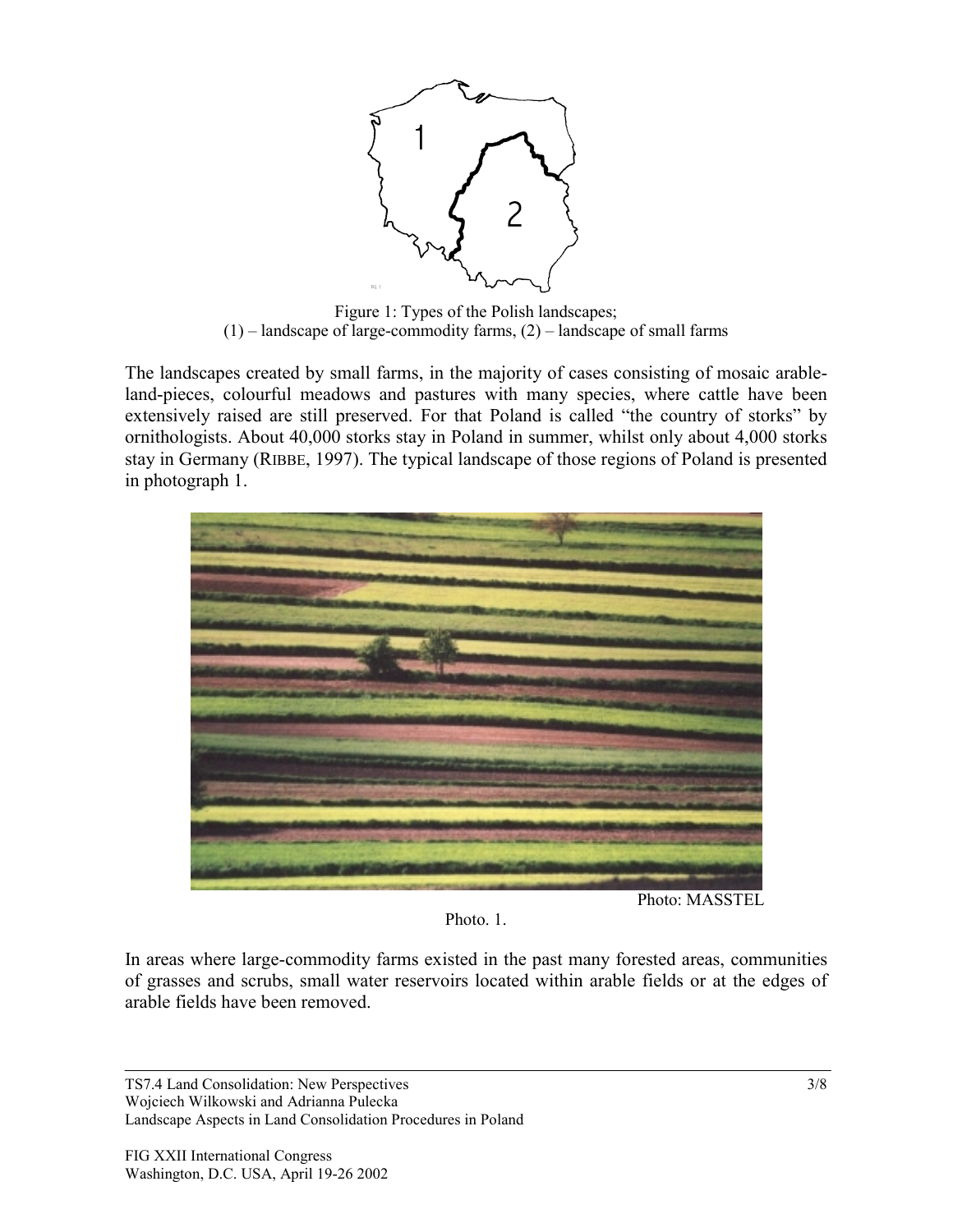

Figure 1: Types of the Polish landscapes;  $(1)$  – landscape of large-commodity farms,  $(2)$  – landscape of small farms

The landscapes created by small farms, in the majority of cases consisting of mosaic arableland-pieces, colourful meadows and pastures with many species, where cattle have been extensively raised are still preserved. For that Poland is called "the country of storks" by ornithologists. About 40,000 storks stay in Poland in summer, whilst only about 4,000 storks stay in Germany (RIBBE, 1997). The typical landscape of those regions of Poland is presented in photograph 1.



Photo. 1.

In areas where large-commodity farms existed in the past many forested areas, communities of grasses and scrubs, small water reservoirs located within arable fields or at the edges of arable fields have been removed.

TS7.4 Land Consolidation: New Perspectives Wojciech Wilkowski and Adrianna Pulecka Landscape Aspects in Land Consolidation Procedures in Poland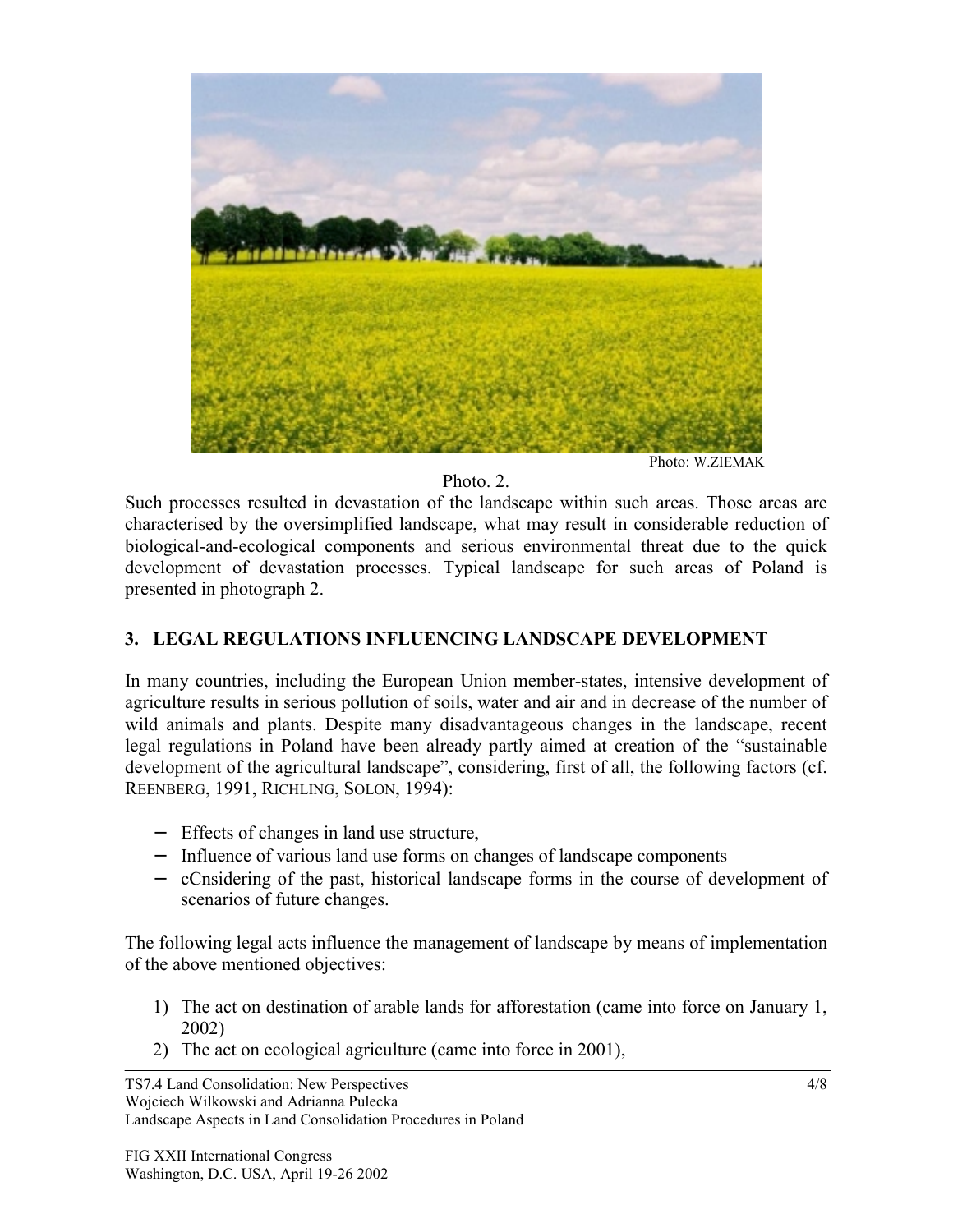

#### Photo<sub>2</sub>.

Such processes resulted in devastation of the landscape within such areas. Those areas are characterised by the oversimplified landscape, what may result in considerable reduction of biological-and-ecological components and serious environmental threat due to the quick development of devastation processes. Typical landscape for such areas of Poland is presented in photograph 2.

#### **3. LEGAL REGULATIONS INFLUENCING LANDSCAPE DEVELOPMENT**

In many countries, including the European Union member-states, intensive development of agriculture results in serious pollution of soils, water and air and in decrease of the number of wild animals and plants. Despite many disadvantageous changes in the landscape, recent legal regulations in Poland have been already partly aimed at creation of the "sustainable development of the agricultural landscape", considering, first of all, the following factors (cf. REENBERG, 1991, RICHLING, SOLON, 1994):

- − Effects of changes in land use structure,
- − Influence of various land use forms on changes of landscape components
- − cCnsidering of the past, historical landscape forms in the course of development of scenarios of future changes.

The following legal acts influence the management of landscape by means of implementation of the above mentioned objectives:

- 1) The act on destination of arable lands for afforestation (came into force on January 1, 2002)
- 2) The act on ecological agriculture (came into force in 2001),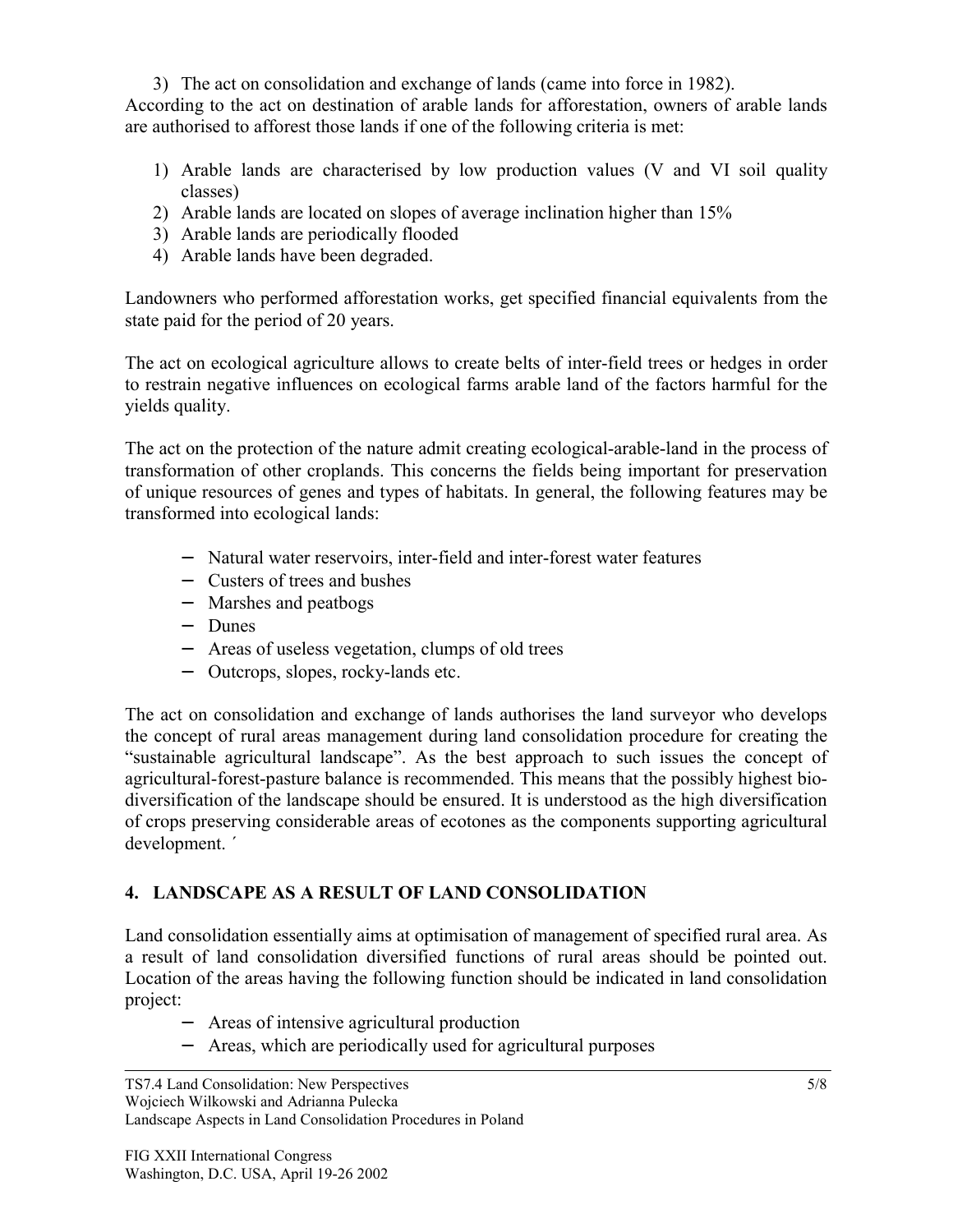3) The act on consolidation and exchange of lands (came into force in 1982). According to the act on destination of arable lands for afforestation, owners of arable lands are authorised to afforest those lands if one of the following criteria is met:

- 1) Arable lands are characterised by low production values (V and VI soil quality classes)
- 2) Arable lands are located on slopes of average inclination higher than 15%
- 3) Arable lands are periodically flooded
- 4) Arable lands have been degraded.

Landowners who performed afforestation works, get specified financial equivalents from the state paid for the period of 20 years.

The act on ecological agriculture allows to create belts of inter-field trees or hedges in order to restrain negative influences on ecological farms arable land of the factors harmful for the yields quality.

The act on the protection of the nature admit creating ecological-arable-land in the process of transformation of other croplands. This concerns the fields being important for preservation of unique resources of genes and types of habitats. In general, the following features may be transformed into ecological lands:

- − Natural water reservoirs, inter-field and inter-forest water features
- − Custers of trees and bushes
- − Marshes and peatbogs
- − Dunes
- − Areas of useless vegetation, clumps of old trees
- − Outcrops, slopes, rocky-lands etc.

The act on consolidation and exchange of lands authorises the land surveyor who develops the concept of rural areas management during land consolidation procedure for creating the "sustainable agricultural landscape". As the best approach to such issues the concept of agricultural-forest-pasture balance is recommended. This means that the possibly highest biodiversification of the landscape should be ensured. It is understood as the high diversification of crops preserving considerable areas of ecotones as the components supporting agricultural development. ´

# **4. LANDSCAPE AS A RESULT OF LAND CONSOLIDATION**

Land consolidation essentially aims at optimisation of management of specified rural area. As a result of land consolidation diversified functions of rural areas should be pointed out. Location of the areas having the following function should be indicated in land consolidation project:

- − Areas of intensive agricultural production
- − Areas, which are periodically used for agricultural purposes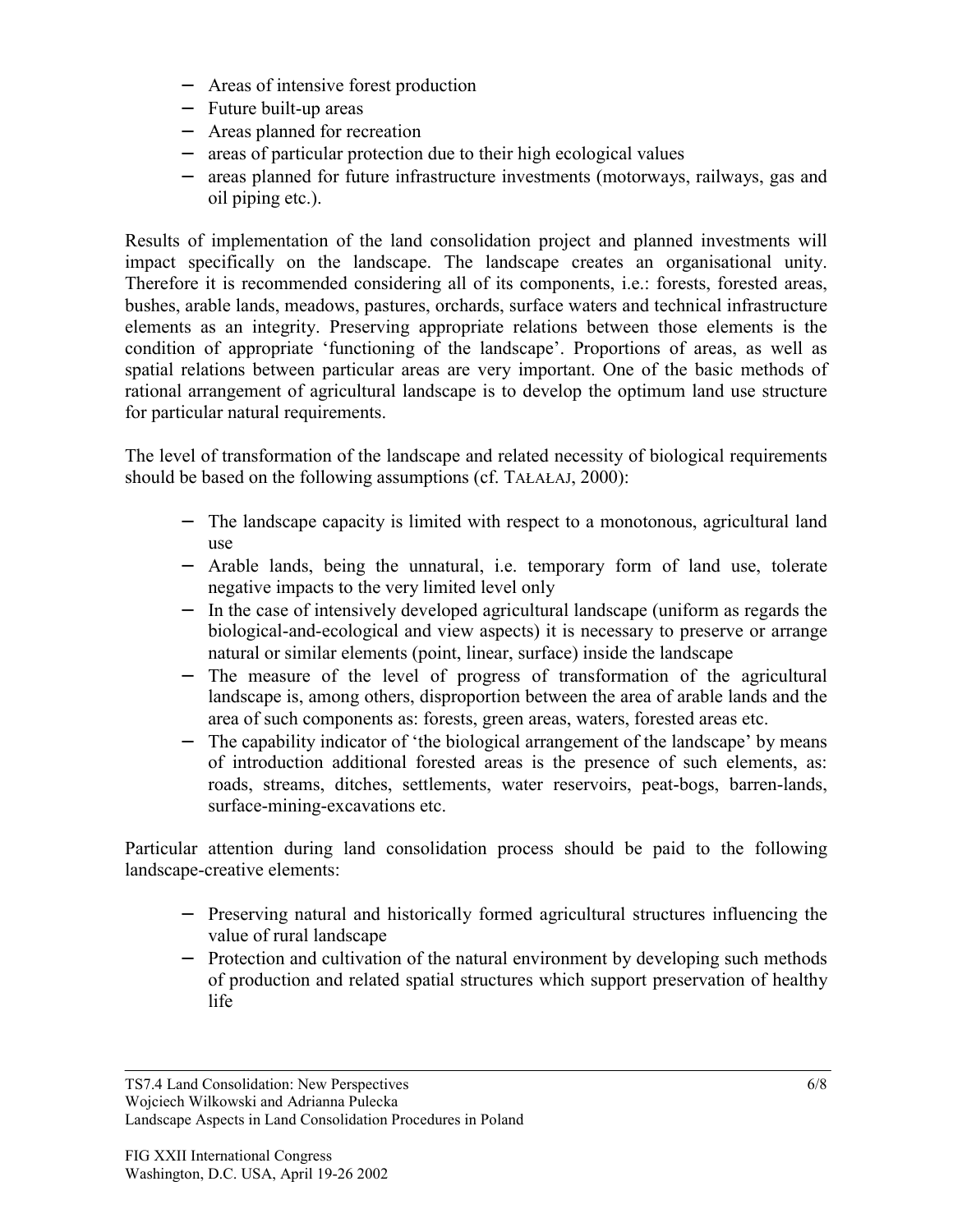- − Areas of intensive forest production
- − Future built-up areas
- − Areas planned for recreation
- − areas of particular protection due to their high ecological values
- areas planned for future infrastructure investments (motorways, railways, gas and oil piping etc.).

Results of implementation of the land consolidation project and planned investments will impact specifically on the landscape. The landscape creates an organisational unity. Therefore it is recommended considering all of its components, i.e.: forests, forested areas, bushes, arable lands, meadows, pastures, orchards, surface waters and technical infrastructure elements as an integrity. Preserving appropriate relations between those elements is the condition of appropriate 'functioning of the landscape'. Proportions of areas, as well as spatial relations between particular areas are very important. One of the basic methods of rational arrangement of agricultural landscape is to develop the optimum land use structure for particular natural requirements.

The level of transformation of the landscape and related necessity of biological requirements should be based on the following assumptions (cf. TAŁAŁAJ, 2000):

- − The landscape capacity is limited with respect to a monotonous, agricultural land use
- − Arable lands, being the unnatural, i.e. temporary form of land use, tolerate negative impacts to the very limited level only
- − In the case of intensively developed agricultural landscape (uniform as regards the biological-and-ecological and view aspects) it is necessary to preserve or arrange natural or similar elements (point, linear, surface) inside the landscape
- − The measure of the level of progress of transformation of the agricultural landscape is, among others, disproportion between the area of arable lands and the area of such components as: forests, green areas, waters, forested areas etc.
- − The capability indicator of 'the biological arrangement of the landscape' by means of introduction additional forested areas is the presence of such elements, as: roads, streams, ditches, settlements, water reservoirs, peat-bogs, barren-lands, surface-mining-excavations etc.

Particular attention during land consolidation process should be paid to the following landscape-creative elements:

- − Preserving natural and historically formed agricultural structures influencing the value of rural landscape
- − Protection and cultivation of the natural environment by developing such methods of production and related spatial structures which support preservation of healthy life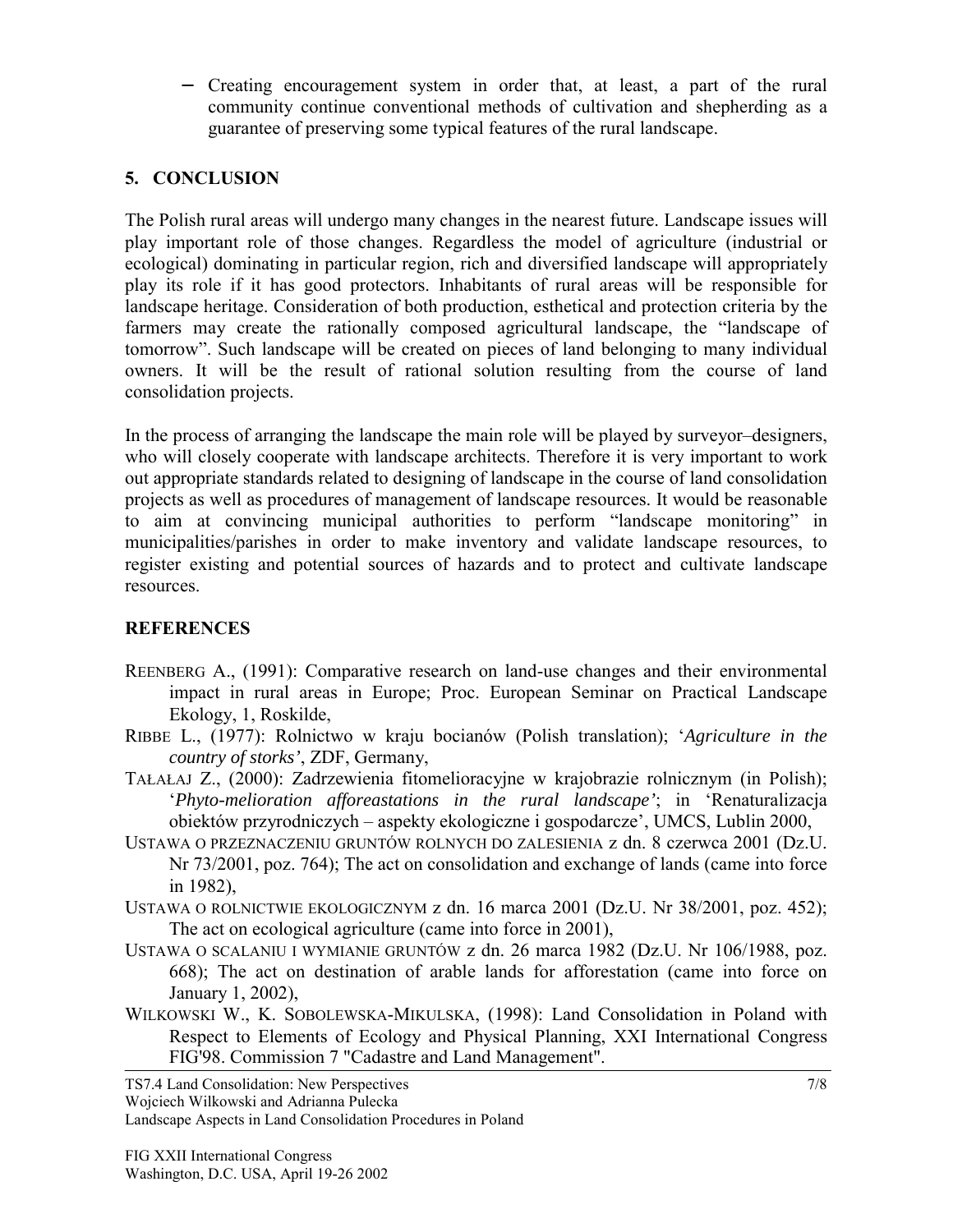− Creating encouragement system in order that, at least, a part of the rural community continue conventional methods of cultivation and shepherding as a guarantee of preserving some typical features of the rural landscape.

### **5. CONCLUSION**

The Polish rural areas will undergo many changes in the nearest future. Landscape issues will play important role of those changes. Regardless the model of agriculture (industrial or ecological) dominating in particular region, rich and diversified landscape will appropriately play its role if it has good protectors. Inhabitants of rural areas will be responsible for landscape heritage. Consideration of both production, esthetical and protection criteria by the farmers may create the rationally composed agricultural landscape, the "landscape of tomorrow". Such landscape will be created on pieces of land belonging to many individual owners. It will be the result of rational solution resulting from the course of land consolidation projects.

In the process of arranging the landscape the main role will be played by surveyor–designers, who will closely cooperate with landscape architects. Therefore it is very important to work out appropriate standards related to designing of landscape in the course of land consolidation projects as well as procedures of management of landscape resources. It would be reasonable to aim at convincing municipal authorities to perform "landscape monitoring" in municipalities/parishes in order to make inventory and validate landscape resources, to register existing and potential sources of hazards and to protect and cultivate landscape resources.

# **REFERENCES**

- REENBERG A., (1991): Comparative research on land-use changes and their environmental impact in rural areas in Europe; Proc. European Seminar on Practical Landscape Ekology, 1, Roskilde,
- RIBBE L., (1977): Rolnictwo w kraju bocianów (Polish translation); '*Agriculture in the country of storks'*, ZDF, Germany,
- TAŁAŁAJ Z., (2000): Zadrzewienia fitomelioracyjne w krajobrazie rolnicznym (in Polish); '*Phyto-melioration afforeastations in the rural landscape'*; in 'Renaturalizacja obiektów przyrodniczych – aspekty ekologiczne i gospodarcze', UMCS, Lublin 2000,
- USTAWA O PRZEZNACZENIU GRUNTÓW ROLNYCH DO ZALESIENIA z dn. 8 czerwca 2001 (Dz.U. Nr 73/2001, poz. 764); The act on consolidation and exchange of lands (came into force in 1982),
- USTAWA O ROLNICTWIE EKOLOGICZNYM z dn. 16 marca 2001 (Dz.U. Nr 38/2001, poz. 452); The act on ecological agriculture (came into force in 2001),
- USTAWA O SCALANIU I WYMIANIE GRUNTÓW z dn. 26 marca 1982 (Dz.U. Nr 106/1988, poz. 668); The act on destination of arable lands for afforestation (came into force on January 1, 2002),
- WILKOWSKI W., K. SOBOLEWSKA-MIKULSKA, (1998): Land Consolidation in Poland with Respect to Elements of Ecology and Physical Planning, XXI International Congress FIG'98. Commission 7 "Cadastre and Land Management".